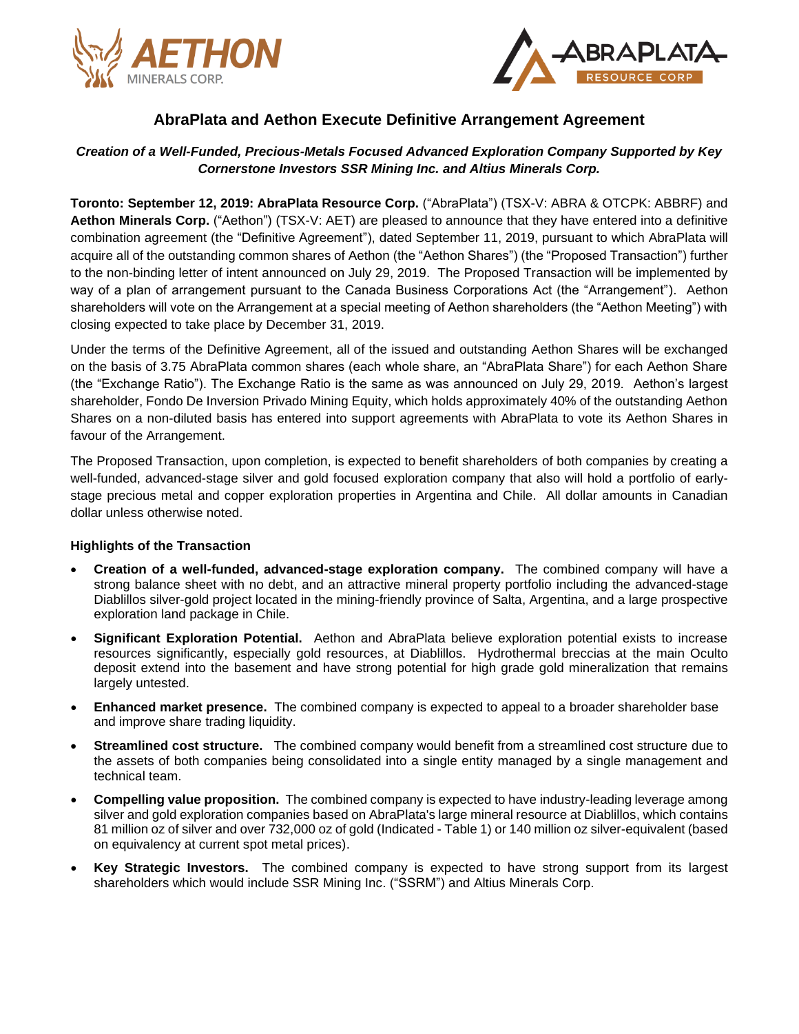



# **AbraPlata and Aethon Execute Definitive Arrangement Agreement**

# *Creation of a Well-Funded, Precious-Metals Focused Advanced Exploration Company Supported by Key Cornerstone Investors SSR Mining Inc. and Altius Minerals Corp.*

**Toronto: September 12, 2019: AbraPlata Resource Corp.** ("AbraPlata") (TSX-V: ABRA & OTCPK: ABBRF) and **Aethon Minerals Corp.** ("Aethon") (TSX-V: AET) are pleased to announce that they have entered into a definitive combination agreement (the "Definitive Agreement"), dated September 11, 2019, pursuant to which AbraPlata will acquire all of the outstanding common shares of Aethon (the "Aethon Shares") (the "Proposed Transaction") further to the non-binding letter of intent announced on July 29, 2019. The Proposed Transaction will be implemented by way of a plan of arrangement pursuant to the Canada Business Corporations Act (the "Arrangement"). Aethon shareholders will vote on the Arrangement at a special meeting of Aethon shareholders (the "Aethon Meeting") with closing expected to take place by December 31, 2019.

Under the terms of the Definitive Agreement, all of the issued and outstanding Aethon Shares will be exchanged on the basis of 3.75 AbraPlata common shares (each whole share, an "AbraPlata Share") for each Aethon Share (the "Exchange Ratio"). The Exchange Ratio is the same as was announced on July 29, 2019. Aethon's largest shareholder, Fondo De Inversion Privado Mining Equity, which holds approximately 40% of the outstanding Aethon Shares on a non-diluted basis has entered into support agreements with AbraPlata to vote its Aethon Shares in favour of the Arrangement.

The Proposed Transaction, upon completion, is expected to benefit shareholders of both companies by creating a well-funded, advanced-stage silver and gold focused exploration company that also will hold a portfolio of earlystage precious metal and copper exploration properties in Argentina and Chile. All dollar amounts in Canadian dollar unless otherwise noted.

## **Highlights of the Transaction**

- **Creation of a well-funded, advanced-stage exploration company.** The combined company will have a strong balance sheet with no debt, and an attractive mineral property portfolio including the advanced-stage Diablillos silver-gold project located in the mining-friendly province of Salta, Argentina, and a large prospective exploration land package in Chile.
- **Significant Exploration Potential.** Aethon and AbraPlata believe exploration potential exists to increase resources significantly, especially gold resources, at Diablillos. Hydrothermal breccias at the main Oculto deposit extend into the basement and have strong potential for high grade gold mineralization that remains largely untested.
- **Enhanced market presence.** The combined company is expected to appeal to a broader shareholder base and improve share trading liquidity.
- **Streamlined cost structure.** The combined company would benefit from a streamlined cost structure due to the assets of both companies being consolidated into a single entity managed by a single management and technical team.
- **Compelling value proposition.** The combined company is expected to have industry-leading leverage among silver and gold exploration companies based on AbraPlata's large mineral resource at Diablillos, which contains 81 million oz of silver and over 732,000 oz of gold (Indicated - Table 1) or 140 million oz silver-equivalent (based on equivalency at current spot metal prices).
- **Key Strategic Investors.** The combined company is expected to have strong support from its largest shareholders which would include SSR Mining Inc. ("SSRM") and Altius Minerals Corp.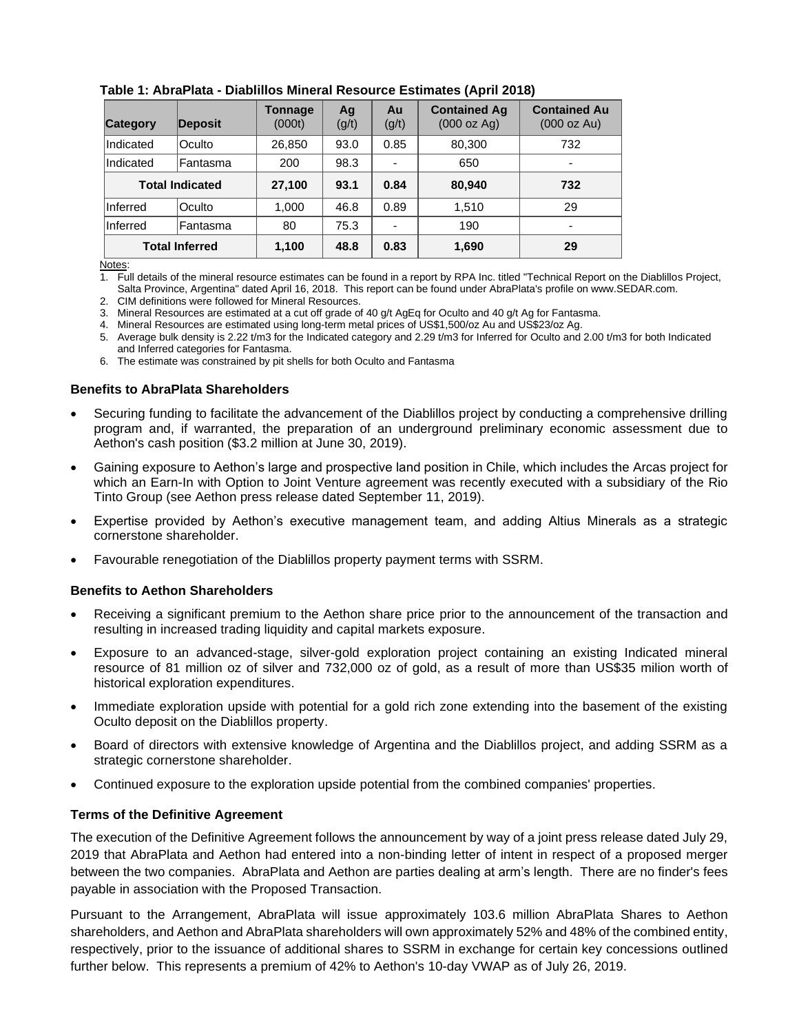| <b>Category</b>        | Deposit         | Tonnage<br>(000t) | Ag<br>(g/t) | Au<br>(g/t) | <b>Contained Ag</b><br>(000 oz Ag) | <b>Contained Au</b><br>(000 oz Au) |
|------------------------|-----------------|-------------------|-------------|-------------|------------------------------------|------------------------------------|
| Indicated              | Oculto          | 26,850            | 93.0        | 0.85        | 80,300                             | 732                                |
| Indicated              | Fantasma        | 200               | 98.3        |             | 650                                |                                    |
| <b>Total Indicated</b> |                 | 27,100            | 93.1        | 0.84        | 80,940                             | 732                                |
| Inferred               | <b>Oculto</b>   | 1,000             | 46.8        | 0.89        | 1,510                              | 29                                 |
| Inferred               | <b>Fantasma</b> | 80                | 75.3        |             | 190                                |                                    |
| <b>Total Inferred</b>  |                 | 1,100             | 48.8        | 0.83        | 1,690                              | 29                                 |

# **Table 1: AbraPlata - Diablillos Mineral Resource Estimates (April 2018)**

Notes:

1. Full details of the mineral resource estimates can be found in a report by RPA Inc. titled "Technical Report on the Diablillos Project, Salta Province, Argentina" dated April 16, 2018. This report can be found under AbraPlata's profile on www.SEDAR.com.

2. CIM definitions were followed for Mineral Resources.

3. Mineral Resources are estimated at a cut off grade of 40 g/t AgEq for Oculto and 40 g/t Ag for Fantasma.

4. Mineral Resources are estimated using long-term metal prices of US\$1,500/oz Au and US\$23/oz Ag.

5. Average bulk density is 2.22 t/m3 for the Indicated category and 2.29 t/m3 for Inferred for Oculto and 2.00 t/m3 for both Indicated and Inferred categories for Fantasma.

6. The estimate was constrained by pit shells for both Oculto and Fantasma

## **Benefits to AbraPlata Shareholders**

- Securing funding to facilitate the advancement of the Diablillos project by conducting a comprehensive drilling program and, if warranted, the preparation of an underground preliminary economic assessment due to Aethon's cash position (\$3.2 million at June 30, 2019).
- Gaining exposure to Aethon's large and prospective land position in Chile, which includes the Arcas project for which an Earn-In with Option to Joint Venture agreement was recently executed with a subsidiary of the Rio Tinto Group (see Aethon press release dated September 11, 2019).
- Expertise provided by Aethon's executive management team, and adding Altius Minerals as a strategic cornerstone shareholder.
- Favourable renegotiation of the Diablillos property payment terms with SSRM.

## **Benefits to Aethon Shareholders**

- Receiving a significant premium to the Aethon share price prior to the announcement of the transaction and resulting in increased trading liquidity and capital markets exposure.
- Exposure to an advanced-stage, silver-gold exploration project containing an existing Indicated mineral resource of 81 million oz of silver and 732,000 oz of gold, as a result of more than US\$35 milion worth of historical exploration expenditures.
- Immediate exploration upside with potential for a gold rich zone extending into the basement of the existing Oculto deposit on the Diablillos property.
- Board of directors with extensive knowledge of Argentina and the Diablillos project, and adding SSRM as a strategic cornerstone shareholder.
- Continued exposure to the exploration upside potential from the combined companies' properties.

## **Terms of the Definitive Agreement**

The execution of the Definitive Agreement follows the announcement by way of a joint press release dated July 29, 2019 that AbraPlata and Aethon had entered into a non-binding letter of intent in respect of a proposed merger between the two companies. AbraPlata and Aethon are parties dealing at arm's length. There are no finder's fees payable in association with the Proposed Transaction.

Pursuant to the Arrangement, AbraPlata will issue approximately 103.6 million AbraPlata Shares to Aethon shareholders, and Aethon and AbraPlata shareholders will own approximately 52% and 48% of the combined entity, respectively, prior to the issuance of additional shares to SSRM in exchange for certain key concessions outlined further below. This represents a premium of 42% to Aethon's 10-day VWAP as of July 26, 2019.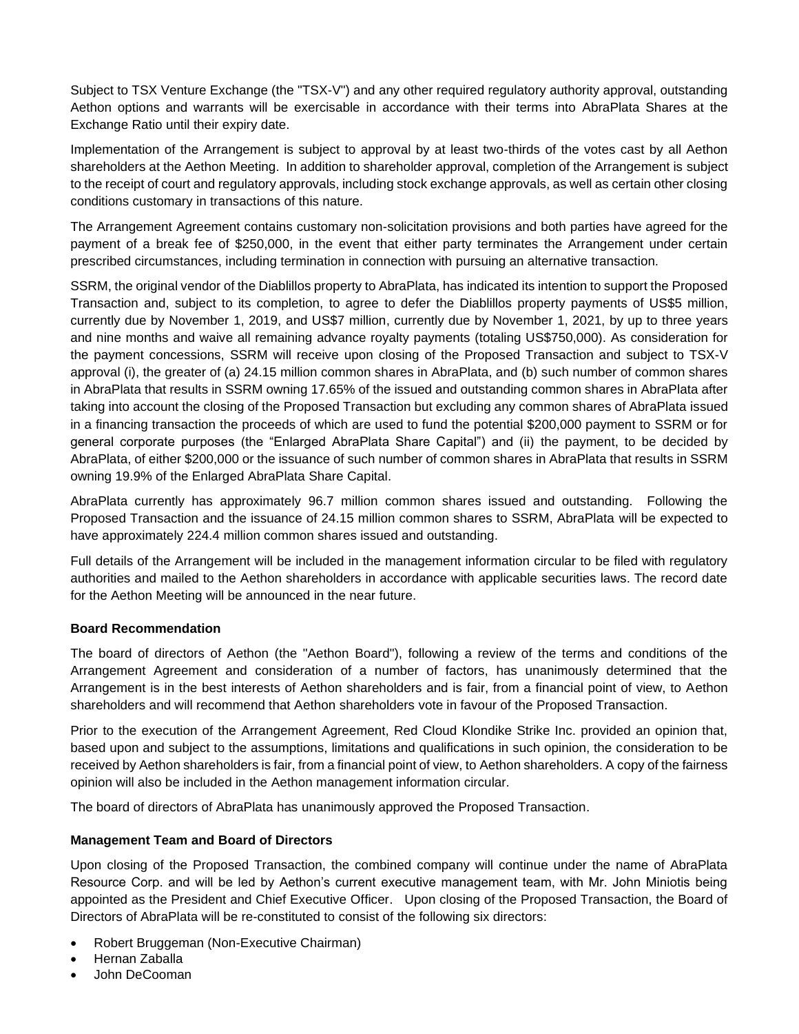Subject to TSX Venture Exchange (the "TSX-V") and any other required regulatory authority approval, outstanding Aethon options and warrants will be exercisable in accordance with their terms into AbraPlata Shares at the Exchange Ratio until their expiry date.

Implementation of the Arrangement is subject to approval by at least two-thirds of the votes cast by all Aethon shareholders at the Aethon Meeting. In addition to shareholder approval, completion of the Arrangement is subject to the receipt of court and regulatory approvals, including stock exchange approvals, as well as certain other closing conditions customary in transactions of this nature.

The Arrangement Agreement contains customary non-solicitation provisions and both parties have agreed for the payment of a break fee of \$250,000, in the event that either party terminates the Arrangement under certain prescribed circumstances, including termination in connection with pursuing an alternative transaction.

SSRM, the original vendor of the Diablillos property to AbraPlata, has indicated its intention to support the Proposed Transaction and, subject to its completion, to agree to defer the Diablillos property payments of US\$5 million, currently due by November 1, 2019, and US\$7 million, currently due by November 1, 2021, by up to three years and nine months and waive all remaining advance royalty payments (totaling US\$750,000). As consideration for the payment concessions, SSRM will receive upon closing of the Proposed Transaction and subject to TSX-V approval (i), the greater of (a) 24.15 million common shares in AbraPlata, and (b) such number of common shares in AbraPlata that results in SSRM owning 17.65% of the issued and outstanding common shares in AbraPlata after taking into account the closing of the Proposed Transaction but excluding any common shares of AbraPlata issued in a financing transaction the proceeds of which are used to fund the potential \$200,000 payment to SSRM or for general corporate purposes (the "Enlarged AbraPlata Share Capital") and (ii) the payment, to be decided by AbraPlata, of either \$200,000 or the issuance of such number of common shares in AbraPlata that results in SSRM owning 19.9% of the Enlarged AbraPlata Share Capital.

AbraPlata currently has approximately 96.7 million common shares issued and outstanding. Following the Proposed Transaction and the issuance of 24.15 million common shares to SSRM, AbraPlata will be expected to have approximately 224.4 million common shares issued and outstanding.

Full details of the Arrangement will be included in the management information circular to be filed with regulatory authorities and mailed to the Aethon shareholders in accordance with applicable securities laws. The record date for the Aethon Meeting will be announced in the near future.

# **Board Recommendation**

The board of directors of Aethon (the "Aethon Board"), following a review of the terms and conditions of the Arrangement Agreement and consideration of a number of factors, has unanimously determined that the Arrangement is in the best interests of Aethon shareholders and is fair, from a financial point of view, to Aethon shareholders and will recommend that Aethon shareholders vote in favour of the Proposed Transaction.

Prior to the execution of the Arrangement Agreement, Red Cloud Klondike Strike Inc. provided an opinion that, based upon and subject to the assumptions, limitations and qualifications in such opinion, the consideration to be received by Aethon shareholders is fair, from a financial point of view, to Aethon shareholders. A copy of the fairness opinion will also be included in the Aethon management information circular.

The board of directors of AbraPlata has unanimously approved the Proposed Transaction.

# **Management Team and Board of Directors**

Upon closing of the Proposed Transaction, the combined company will continue under the name of AbraPlata Resource Corp. and will be led by Aethon's current executive management team, with Mr. John Miniotis being appointed as the President and Chief Executive Officer. Upon closing of the Proposed Transaction, the Board of Directors of AbraPlata will be re-constituted to consist of the following six directors:

- Robert Bruggeman (Non-Executive Chairman)
- Hernan Zaballa
- John DeCooman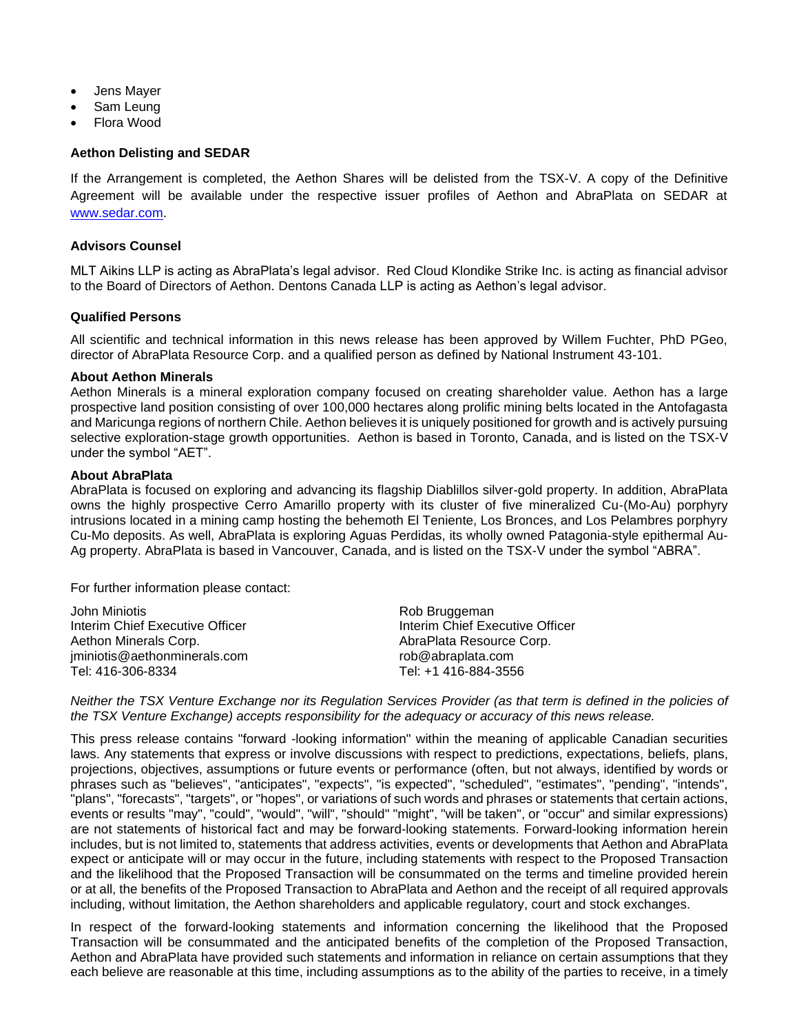- Jens Mayer
- Sam Leung
- Flora Wood

#### **Aethon Delisting and SEDAR**

If the Arrangement is completed, the Aethon Shares will be delisted from the TSX-V. A copy of the Definitive Agreement will be available under the respective issuer profiles of Aethon and AbraPlata on SEDAR at [www.sedar.com.](http://www.sedar.com/)

#### **Advisors Counsel**

MLT Aikins LLP is acting as AbraPlata's legal advisor. Red Cloud Klondike Strike Inc. is acting as financial advisor to the Board of Directors of Aethon. Dentons Canada LLP is acting as Aethon's legal advisor.

## **Qualified Persons**

All scientific and technical information in this news release has been approved by Willem Fuchter, PhD PGeo, director of AbraPlata Resource Corp. and a qualified person as defined by National Instrument 43-101.

#### **About Aethon Minerals**

Aethon Minerals is a mineral exploration company focused on creating shareholder value. Aethon has a large prospective land position consisting of over 100,000 hectares along prolific mining belts located in the Antofagasta and Maricunga regions of northern Chile. Aethon believes it is uniquely positioned for growth and is actively pursuing selective exploration-stage growth opportunities. Aethon is based in Toronto, Canada, and is listed on the TSX-V under the symbol "AET".

#### **About AbraPlata**

AbraPlata is focused on exploring and advancing its flagship Diablillos silver-gold property. In addition, AbraPlata owns the highly prospective Cerro Amarillo property with its cluster of five mineralized Cu-(Mo-Au) porphyry intrusions located in a mining camp hosting the behemoth El Teniente, Los Bronces, and Los Pelambres porphyry Cu-Mo deposits. As well, AbraPlata is exploring Aguas Perdidas, its wholly owned Patagonia-style epithermal Au-Ag property. AbraPlata is based in Vancouver, Canada, and is listed on the TSX-V under the symbol "ABRA".

For further information please contact:

| John Miniotis                   | Rob Bruggeman                   |
|---------------------------------|---------------------------------|
| Interim Chief Executive Officer | Interim Chief Executive Officer |
| Aethon Minerals Corp.           | AbraPlata Resource Corp.        |
| jminiotis@aethonminerals.com    | rob@abraplata.com               |
| Tel: 416-306-8334               | Tel: +1 416-884-3556            |

Neither the TSX Venture Exchange nor its Regulation Services Provider (as that term is defined in the policies of *the TSX Venture Exchange) accepts responsibility for the adequacy or accuracy of this news release.*

This press release contains "forward -looking information" within the meaning of applicable Canadian securities laws. Any statements that express or involve discussions with respect to predictions, expectations, beliefs, plans, projections, objectives, assumptions or future events or performance (often, but not always, identified by words or phrases such as "believes", "anticipates", "expects", "is expected", "scheduled", "estimates", "pending", "intends", "plans", "forecasts", "targets", or "hopes", or variations of such words and phrases or statements that certain actions, events or results "may", "could", "would", "will", "should" "might", "will be taken", or "occur" and similar expressions) are not statements of historical fact and may be forward-looking statements. Forward-looking information herein includes, but is not limited to, statements that address activities, events or developments that Aethon and AbraPlata expect or anticipate will or may occur in the future, including statements with respect to the Proposed Transaction and the likelihood that the Proposed Transaction will be consummated on the terms and timeline provided herein or at all, the benefits of the Proposed Transaction to AbraPlata and Aethon and the receipt of all required approvals including, without limitation, the Aethon shareholders and applicable regulatory, court and stock exchanges.

In respect of the forward-looking statements and information concerning the likelihood that the Proposed Transaction will be consummated and the anticipated benefits of the completion of the Proposed Transaction, Aethon and AbraPlata have provided such statements and information in reliance on certain assumptions that they each believe are reasonable at this time, including assumptions as to the ability of the parties to receive, in a timely